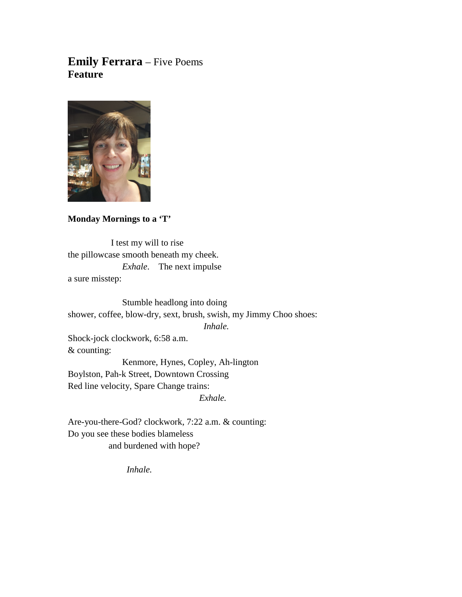# **Emily Ferrara** – Five Poems **Feature**



## **Monday Mornings to a 'T'**

 I test my will to rise the pillowcase smooth beneath my cheek. *Exhale*. The next impulse a sure misstep:

Stumble headlong into doing shower, coffee, blow-dry, sext, brush, swish, my Jimmy Choo shoes: *Inhale.* Shock-jock clockwork, 6:58 a.m. & counting: Kenmore, Hynes, Copley, Ah-lington Boylston, Pah-k Street, Downtown Crossing Red line velocity, Spare Change trains:

 *Exhale.*

Are-you-there-God? clockwork, 7:22 a.m. & counting: Do you see these bodies blameless and burdened with hope?

 *Inhale.*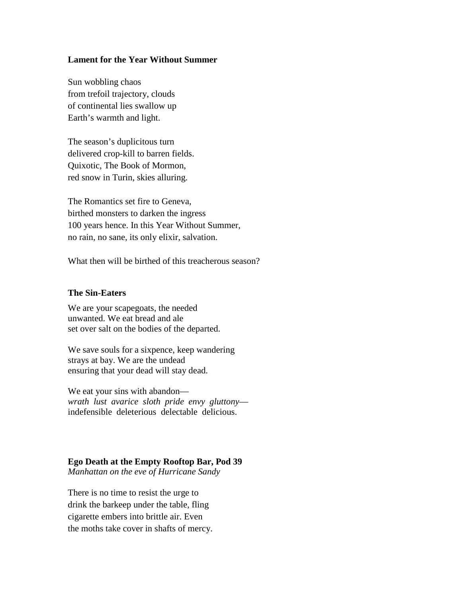#### **Lament for the Year Without Summer**

Sun wobbling chaos from trefoil trajectory, clouds of continental lies swallow up Earth's warmth and light.

The season's duplicitous turn delivered crop-kill to barren fields. Quixotic, The Book of Mormon, red snow in Turin, skies alluring.

The Romantics set fire to Geneva, birthed monsters to darken the ingress 100 years hence. In this Year Without Summer, no rain, no sane, its only elixir, salvation.

What then will be birthed of this treacherous season?

#### **The Sin-Eaters**

We are your scapegoats, the needed unwanted. We eat bread and ale set over salt on the bodies of the departed.

We save souls for a sixpence, keep wandering strays at bay. We are the undead ensuring that your dead will stay dead.

We eat your sins with abandon *wrath lust avarice sloth pride envy gluttony* indefensible deleterious delectable delicious.

### **Ego Death at the Empty Rooftop Bar, Pod 39**

*Manhattan on the eve of Hurricane Sandy*

There is no time to resist the urge to drink the barkeep under the table, fling cigarette embers into brittle air. Even the moths take cover in shafts of mercy.